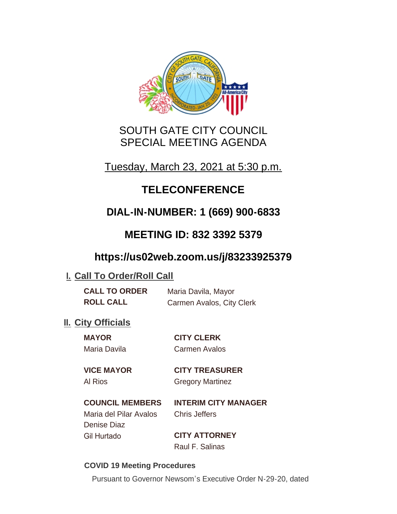

# SOUTH GATE CITY COUNCIL SPECIAL MEETING AGENDA

Tuesday, March 23, 2021 at 5:30 p.m.

# **TELECONFERENCE**

# **DIAL-IN-NUMBER: 1 (669) 900-6833**

# **MEETING ID: 832 3392 5379**

# **https://us02web.zoom.us/j/83233925379**

# **I. Call To Order/Roll Call**

| <b>CALL TO ORDER</b> | Maria Davila, Mayor       |
|----------------------|---------------------------|
| <b>ROLL CALL</b>     | Carmen Avalos, City Clerk |

# **II.** City Officials

| <b>MAYOR</b>      | <b>CITY CLERK</b>    |
|-------------------|----------------------|
| Maria Davila      | <b>Carmen Avalos</b> |
| <b>INAP MAVAR</b> | AITV TBEAAUR         |

### **VICE MAYOR CITY TREASURER**

Al Rios **Gregory Martinez** 

### **COUNCIL MEMBERS INTERIM CITY MANAGER**

Maria del Pilar Avalos Chris Jeffers Denise Diaz Gil Hurtado **CITY ATTORNEY**

Raul F. Salinas

#### **COVID 19 Meeting Procedures**

Pursuant to Governor Newsom's Executive Order N-29-20, dated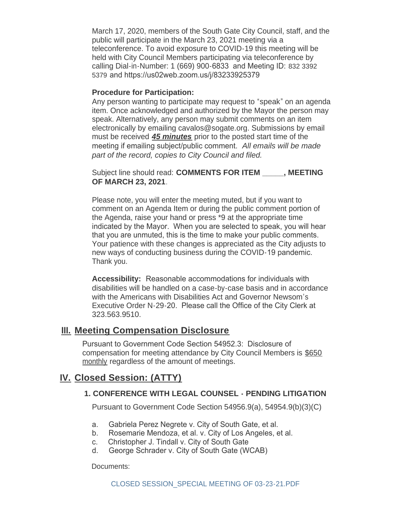March 17, 2020, members of the South Gate City Council, staff, and the public will participate in the March 23, 2021 meeting via a teleconference. To avoid exposure to COVID-19 this meeting will be held with City Council Members participating via teleconference by calling Dial-in-Number: 1 (669) 900-6833 and Meeting ID: 832 3392 5379 and https://us02web.zoom.us/j/83233925379

#### **Procedure for Participation:**

Any person wanting to participate may request to "speak" on an agenda item. Once acknowledged and authorized by the Mayor the person may speak. Alternatively, any person may submit comments on an item electronically by emailing cavalos@sogate.org. Submissions by email must be received *45 minutes* prior to the posted start time of the meeting if emailing subject/public comment. *All emails will be made part of the record, copies to City Council and filed.*

Subject line should read: **COMMENTS FOR ITEM \_\_\_\_\_, MEETING OF MARCH 23, 2021**.

Please note, you will enter the meeting muted, but if you want to comment on an Agenda Item or during the public comment portion of the Agenda, raise your hand or press \*9 at the appropriate time indicated by the Mayor. When you are selected to speak, you will hear that you are unmuted, this is the time to make your public comments. Your patience with these changes is appreciated as the City adjusts to new ways of conducting business during the COVID-19 pandemic. Thank you.

**Accessibility:** Reasonable accommodations for individuals with disabilities will be handled on a case-by-case basis and in accordance with the Americans with Disabilities Act and Governor Newsom's Executive Order N-29-20. Please call the Office of the City Clerk at 323.563.9510.

### **Meeting Compensation Disclosure III.**

Pursuant to Government Code Section 54952.3: Disclosure of compensation for meeting attendance by City Council Members is \$650 monthly regardless of the amount of meetings.

### **Closed Session: (ATTY) IV.**

#### **1. CONFERENCE WITH LEGAL COUNSEL - PENDING LITIGATION**

Pursuant to Government Code Section 54956.9(a), 54954.9(b)(3)(C)

- a. Gabriela Perez Negrete v. City of South Gate, et al.
- b. Rosemarie Mendoza, et al. v. City of Los Angeles, et al.
- c. Christopher J. Tindall v. City of South Gate
- d. George Schrader v. City of South Gate (WCAB)

Documents: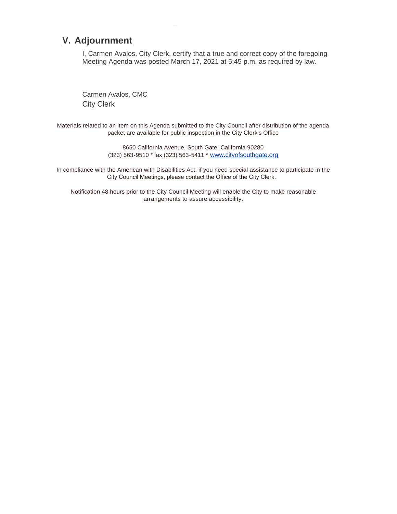### **Adjournment V.**

I, Carmen Avalos, City Clerk, certify that a true and correct copy of the foregoing Meeting Agenda was posted March 17, 2021 at 5:45 p.m. as required by law.

Carmen Avalos, CMC City Clerk

Materials related to an item on this Agenda submitted to the City Council after distribution of the agenda packet are available for public inspection in the City Clerk's Office

> 8650 California Avenue, South Gate, California 90280 (323) 563-9510 \* fax (323) 563-5411 \* [www.cityofsouthgate.org](http://www.cityofsouthgate.org/)

In compliance with the American with Disabilities Act, if you need special assistance to participate in the City Council Meetings, please contact the Office of the City Clerk.

Notification 48 hours prior to the City Council Meeting will enable the City to make reasonable arrangements to assure accessibility.